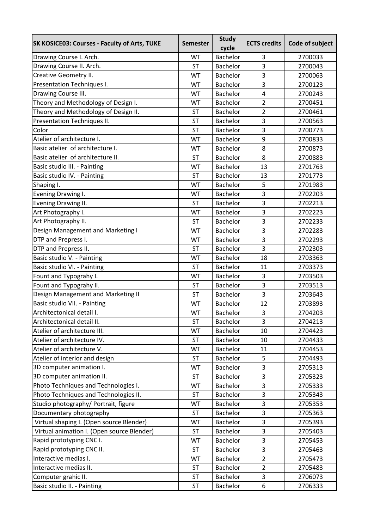| Bachelor<br>2700033<br>Drawing Course I. Arch.<br>WT<br>3<br>Drawing Course II. Arch.<br>$\overline{3}$<br><b>ST</b><br><b>Bachelor</b><br>2700043<br>3<br>Creative Geometry II.<br>WT<br>Bachelor<br>2700063<br>Presentation Techniques I.<br>3<br>2700123<br>WT<br>Bachelor<br>Drawing Course III.<br>$\overline{4}$<br>WT<br><b>Bachelor</b><br>2700243<br>Theory and Methodology of Design I.<br>$\overline{2}$<br>WT<br>Bachelor<br>2700451<br>Theory and Methodology of Design II.<br>$\overline{2}$<br>2700461<br><b>ST</b><br><b>Bachelor</b><br>Presentation Techniques II.<br>3<br><b>ST</b><br>Bachelor<br>2700563<br>Color<br>3<br><b>ST</b><br>Bachelor<br>2700773<br>Atelier of architecture I.<br>9<br>WT<br>Bachelor<br>2700833<br>Basic atelier of architecture I.<br>Bachelor<br>8<br>WT<br>2700873<br>8<br>Basic atelier of architecture II.<br>Bachelor<br>2700883<br><b>ST</b><br>Basic studio III. - Painting<br>13<br>WT<br><b>Bachelor</b><br>2701763<br>Basic studio IV. - Painting<br>2701773<br><b>ST</b><br><b>Bachelor</b><br>13<br>5<br>WT<br><b>Bachelor</b><br>2701983<br>Shaping I.<br>3<br>Evening Drawing I.<br>Bachelor<br>2702203<br>WT<br>Evening Drawing II.<br>3<br>Bachelor<br><b>ST</b><br>2702213<br>Art Photography I.<br><b>Bachelor</b><br>3<br>WT<br>2702223<br>3<br>Art Photography II.<br>2702233<br><b>Bachelor</b><br><b>ST</b><br>Design Management and Marketing I<br>3<br><b>Bachelor</b><br>2702283<br>WT<br>DTP and Prepress I.<br>3<br>2702293<br>WT<br><b>Bachelor</b><br>3<br>DTP and Prepress II.<br><b>ST</b><br><b>Bachelor</b><br>2702303<br>Basic studio V. - Painting<br>WT<br>Bachelor<br>18<br>2703363<br>Basic studio VI. - Painting<br><b>Bachelor</b><br>11<br>2703373<br><b>ST</b><br>Fount and Typograhy I.<br>Bachelor<br>3<br>2703503<br>WT<br>3<br>2703513<br>Fount and Typograhy II.<br><b>ST</b><br><b>Bachelor</b><br>Design Management and Marketing II<br>3<br><b>ST</b><br><b>Bachelor</b><br>2703643<br>Basic studio VII. - Painting<br>12<br>Bachelor<br>2703893<br>WT<br>Architectonical detail I.<br>3<br>WT<br>Bachelor<br>2704203<br>Architectonical detail II.<br>$\overline{3}$<br><b>ST</b><br>Bachelor<br>2704213<br>Atelier of architecture III.<br>2704423<br>WT<br>Bachelor<br>10<br>Atelier of architecture IV.<br>Bachelor<br>2704433<br><b>ST</b><br>10<br>Atelier of architecture V.<br>2704453<br>WT<br>Bachelor<br>11<br>Atelier of interior and design<br><b>ST</b><br>Bachelor<br>5<br>2704493<br>3D computer animation I.<br>WT<br>Bachelor<br>3<br>2705313<br>3D computer animation II.<br>3<br><b>ST</b><br>Bachelor<br>2705323<br>Photo Techniques and Technologies I.<br>3<br>WT<br>Bachelor<br>2705333<br>Photo Techniques and Technologies II.<br>3<br><b>ST</b><br>Bachelor<br>2705343<br>Studio photography/ Portrait, figure<br>WT<br>Bachelor<br>3<br>2705353<br>3<br>Documentary photography<br>2705363<br><b>ST</b><br>Bachelor<br>3<br>Virtual shaping I. (Open source Blender)<br>Bachelor<br>WT<br>2705393<br>Virtual animation I. (Open source Blender)<br>3<br>Bachelor<br>2705403<br><b>ST</b><br>Rapid prototyping CNC I.<br>3<br>WT<br>Bachelor<br>2705453<br>Rapid prototyping CNC II.<br><b>ST</b><br>Bachelor<br>3<br>2705463<br>Interactive medias I.<br>$\overline{2}$<br>WT<br>Bachelor<br>2705473<br>Interactive medias II.<br>$\overline{2}$<br><b>ST</b><br>Bachelor<br>2705483<br>Computer grahic II.<br>Bachelor<br>3<br><b>ST</b><br>2706073<br>6<br>Basic studio II. - Painting<br><b>ST</b><br>Bachelor<br>2706333 | <b>SK KOSICE03: Courses - Faculty of Arts, TUKE</b> | <b>Semester</b> | <b>Study</b><br>cycle | <b>ECTS credits</b> | Code of subject |
|-------------------------------------------------------------------------------------------------------------------------------------------------------------------------------------------------------------------------------------------------------------------------------------------------------------------------------------------------------------------------------------------------------------------------------------------------------------------------------------------------------------------------------------------------------------------------------------------------------------------------------------------------------------------------------------------------------------------------------------------------------------------------------------------------------------------------------------------------------------------------------------------------------------------------------------------------------------------------------------------------------------------------------------------------------------------------------------------------------------------------------------------------------------------------------------------------------------------------------------------------------------------------------------------------------------------------------------------------------------------------------------------------------------------------------------------------------------------------------------------------------------------------------------------------------------------------------------------------------------------------------------------------------------------------------------------------------------------------------------------------------------------------------------------------------------------------------------------------------------------------------------------------------------------------------------------------------------------------------------------------------------------------------------------------------------------------------------------------------------------------------------------------------------------------------------------------------------------------------------------------------------------------------------------------------------------------------------------------------------------------------------------------------------------------------------------------------------------------------------------------------------------------------------------------------------------------------------------------------------------------------------------------------------------------------------------------------------------------------------------------------------------------------------------------------------------------------------------------------------------------------------------------------------------------------------------------------------------------------------------------------------------------------------------------------------------------------------------------------------------------------------------------------------------------------------------------------------------------------------------------------------------------------------------------------------------------------------------------------------------------------------------------------------------------------------------------------------------------------------------------------------------------------------------------------------|-----------------------------------------------------|-----------------|-----------------------|---------------------|-----------------|
|                                                                                                                                                                                                                                                                                                                                                                                                                                                                                                                                                                                                                                                                                                                                                                                                                                                                                                                                                                                                                                                                                                                                                                                                                                                                                                                                                                                                                                                                                                                                                                                                                                                                                                                                                                                                                                                                                                                                                                                                                                                                                                                                                                                                                                                                                                                                                                                                                                                                                                                                                                                                                                                                                                                                                                                                                                                                                                                                                                                                                                                                                                                                                                                                                                                                                                                                                                                                                                                                                                                                                             |                                                     |                 |                       |                     |                 |
|                                                                                                                                                                                                                                                                                                                                                                                                                                                                                                                                                                                                                                                                                                                                                                                                                                                                                                                                                                                                                                                                                                                                                                                                                                                                                                                                                                                                                                                                                                                                                                                                                                                                                                                                                                                                                                                                                                                                                                                                                                                                                                                                                                                                                                                                                                                                                                                                                                                                                                                                                                                                                                                                                                                                                                                                                                                                                                                                                                                                                                                                                                                                                                                                                                                                                                                                                                                                                                                                                                                                                             |                                                     |                 |                       |                     |                 |
|                                                                                                                                                                                                                                                                                                                                                                                                                                                                                                                                                                                                                                                                                                                                                                                                                                                                                                                                                                                                                                                                                                                                                                                                                                                                                                                                                                                                                                                                                                                                                                                                                                                                                                                                                                                                                                                                                                                                                                                                                                                                                                                                                                                                                                                                                                                                                                                                                                                                                                                                                                                                                                                                                                                                                                                                                                                                                                                                                                                                                                                                                                                                                                                                                                                                                                                                                                                                                                                                                                                                                             |                                                     |                 |                       |                     |                 |
|                                                                                                                                                                                                                                                                                                                                                                                                                                                                                                                                                                                                                                                                                                                                                                                                                                                                                                                                                                                                                                                                                                                                                                                                                                                                                                                                                                                                                                                                                                                                                                                                                                                                                                                                                                                                                                                                                                                                                                                                                                                                                                                                                                                                                                                                                                                                                                                                                                                                                                                                                                                                                                                                                                                                                                                                                                                                                                                                                                                                                                                                                                                                                                                                                                                                                                                                                                                                                                                                                                                                                             |                                                     |                 |                       |                     |                 |
|                                                                                                                                                                                                                                                                                                                                                                                                                                                                                                                                                                                                                                                                                                                                                                                                                                                                                                                                                                                                                                                                                                                                                                                                                                                                                                                                                                                                                                                                                                                                                                                                                                                                                                                                                                                                                                                                                                                                                                                                                                                                                                                                                                                                                                                                                                                                                                                                                                                                                                                                                                                                                                                                                                                                                                                                                                                                                                                                                                                                                                                                                                                                                                                                                                                                                                                                                                                                                                                                                                                                                             |                                                     |                 |                       |                     |                 |
|                                                                                                                                                                                                                                                                                                                                                                                                                                                                                                                                                                                                                                                                                                                                                                                                                                                                                                                                                                                                                                                                                                                                                                                                                                                                                                                                                                                                                                                                                                                                                                                                                                                                                                                                                                                                                                                                                                                                                                                                                                                                                                                                                                                                                                                                                                                                                                                                                                                                                                                                                                                                                                                                                                                                                                                                                                                                                                                                                                                                                                                                                                                                                                                                                                                                                                                                                                                                                                                                                                                                                             |                                                     |                 |                       |                     |                 |
|                                                                                                                                                                                                                                                                                                                                                                                                                                                                                                                                                                                                                                                                                                                                                                                                                                                                                                                                                                                                                                                                                                                                                                                                                                                                                                                                                                                                                                                                                                                                                                                                                                                                                                                                                                                                                                                                                                                                                                                                                                                                                                                                                                                                                                                                                                                                                                                                                                                                                                                                                                                                                                                                                                                                                                                                                                                                                                                                                                                                                                                                                                                                                                                                                                                                                                                                                                                                                                                                                                                                                             |                                                     |                 |                       |                     |                 |
|                                                                                                                                                                                                                                                                                                                                                                                                                                                                                                                                                                                                                                                                                                                                                                                                                                                                                                                                                                                                                                                                                                                                                                                                                                                                                                                                                                                                                                                                                                                                                                                                                                                                                                                                                                                                                                                                                                                                                                                                                                                                                                                                                                                                                                                                                                                                                                                                                                                                                                                                                                                                                                                                                                                                                                                                                                                                                                                                                                                                                                                                                                                                                                                                                                                                                                                                                                                                                                                                                                                                                             |                                                     |                 |                       |                     |                 |
|                                                                                                                                                                                                                                                                                                                                                                                                                                                                                                                                                                                                                                                                                                                                                                                                                                                                                                                                                                                                                                                                                                                                                                                                                                                                                                                                                                                                                                                                                                                                                                                                                                                                                                                                                                                                                                                                                                                                                                                                                                                                                                                                                                                                                                                                                                                                                                                                                                                                                                                                                                                                                                                                                                                                                                                                                                                                                                                                                                                                                                                                                                                                                                                                                                                                                                                                                                                                                                                                                                                                                             |                                                     |                 |                       |                     |                 |
|                                                                                                                                                                                                                                                                                                                                                                                                                                                                                                                                                                                                                                                                                                                                                                                                                                                                                                                                                                                                                                                                                                                                                                                                                                                                                                                                                                                                                                                                                                                                                                                                                                                                                                                                                                                                                                                                                                                                                                                                                                                                                                                                                                                                                                                                                                                                                                                                                                                                                                                                                                                                                                                                                                                                                                                                                                                                                                                                                                                                                                                                                                                                                                                                                                                                                                                                                                                                                                                                                                                                                             |                                                     |                 |                       |                     |                 |
|                                                                                                                                                                                                                                                                                                                                                                                                                                                                                                                                                                                                                                                                                                                                                                                                                                                                                                                                                                                                                                                                                                                                                                                                                                                                                                                                                                                                                                                                                                                                                                                                                                                                                                                                                                                                                                                                                                                                                                                                                                                                                                                                                                                                                                                                                                                                                                                                                                                                                                                                                                                                                                                                                                                                                                                                                                                                                                                                                                                                                                                                                                                                                                                                                                                                                                                                                                                                                                                                                                                                                             |                                                     |                 |                       |                     |                 |
|                                                                                                                                                                                                                                                                                                                                                                                                                                                                                                                                                                                                                                                                                                                                                                                                                                                                                                                                                                                                                                                                                                                                                                                                                                                                                                                                                                                                                                                                                                                                                                                                                                                                                                                                                                                                                                                                                                                                                                                                                                                                                                                                                                                                                                                                                                                                                                                                                                                                                                                                                                                                                                                                                                                                                                                                                                                                                                                                                                                                                                                                                                                                                                                                                                                                                                                                                                                                                                                                                                                                                             |                                                     |                 |                       |                     |                 |
|                                                                                                                                                                                                                                                                                                                                                                                                                                                                                                                                                                                                                                                                                                                                                                                                                                                                                                                                                                                                                                                                                                                                                                                                                                                                                                                                                                                                                                                                                                                                                                                                                                                                                                                                                                                                                                                                                                                                                                                                                                                                                                                                                                                                                                                                                                                                                                                                                                                                                                                                                                                                                                                                                                                                                                                                                                                                                                                                                                                                                                                                                                                                                                                                                                                                                                                                                                                                                                                                                                                                                             |                                                     |                 |                       |                     |                 |
|                                                                                                                                                                                                                                                                                                                                                                                                                                                                                                                                                                                                                                                                                                                                                                                                                                                                                                                                                                                                                                                                                                                                                                                                                                                                                                                                                                                                                                                                                                                                                                                                                                                                                                                                                                                                                                                                                                                                                                                                                                                                                                                                                                                                                                                                                                                                                                                                                                                                                                                                                                                                                                                                                                                                                                                                                                                                                                                                                                                                                                                                                                                                                                                                                                                                                                                                                                                                                                                                                                                                                             |                                                     |                 |                       |                     |                 |
|                                                                                                                                                                                                                                                                                                                                                                                                                                                                                                                                                                                                                                                                                                                                                                                                                                                                                                                                                                                                                                                                                                                                                                                                                                                                                                                                                                                                                                                                                                                                                                                                                                                                                                                                                                                                                                                                                                                                                                                                                                                                                                                                                                                                                                                                                                                                                                                                                                                                                                                                                                                                                                                                                                                                                                                                                                                                                                                                                                                                                                                                                                                                                                                                                                                                                                                                                                                                                                                                                                                                                             |                                                     |                 |                       |                     |                 |
|                                                                                                                                                                                                                                                                                                                                                                                                                                                                                                                                                                                                                                                                                                                                                                                                                                                                                                                                                                                                                                                                                                                                                                                                                                                                                                                                                                                                                                                                                                                                                                                                                                                                                                                                                                                                                                                                                                                                                                                                                                                                                                                                                                                                                                                                                                                                                                                                                                                                                                                                                                                                                                                                                                                                                                                                                                                                                                                                                                                                                                                                                                                                                                                                                                                                                                                                                                                                                                                                                                                                                             |                                                     |                 |                       |                     |                 |
|                                                                                                                                                                                                                                                                                                                                                                                                                                                                                                                                                                                                                                                                                                                                                                                                                                                                                                                                                                                                                                                                                                                                                                                                                                                                                                                                                                                                                                                                                                                                                                                                                                                                                                                                                                                                                                                                                                                                                                                                                                                                                                                                                                                                                                                                                                                                                                                                                                                                                                                                                                                                                                                                                                                                                                                                                                                                                                                                                                                                                                                                                                                                                                                                                                                                                                                                                                                                                                                                                                                                                             |                                                     |                 |                       |                     |                 |
|                                                                                                                                                                                                                                                                                                                                                                                                                                                                                                                                                                                                                                                                                                                                                                                                                                                                                                                                                                                                                                                                                                                                                                                                                                                                                                                                                                                                                                                                                                                                                                                                                                                                                                                                                                                                                                                                                                                                                                                                                                                                                                                                                                                                                                                                                                                                                                                                                                                                                                                                                                                                                                                                                                                                                                                                                                                                                                                                                                                                                                                                                                                                                                                                                                                                                                                                                                                                                                                                                                                                                             |                                                     |                 |                       |                     |                 |
|                                                                                                                                                                                                                                                                                                                                                                                                                                                                                                                                                                                                                                                                                                                                                                                                                                                                                                                                                                                                                                                                                                                                                                                                                                                                                                                                                                                                                                                                                                                                                                                                                                                                                                                                                                                                                                                                                                                                                                                                                                                                                                                                                                                                                                                                                                                                                                                                                                                                                                                                                                                                                                                                                                                                                                                                                                                                                                                                                                                                                                                                                                                                                                                                                                                                                                                                                                                                                                                                                                                                                             |                                                     |                 |                       |                     |                 |
|                                                                                                                                                                                                                                                                                                                                                                                                                                                                                                                                                                                                                                                                                                                                                                                                                                                                                                                                                                                                                                                                                                                                                                                                                                                                                                                                                                                                                                                                                                                                                                                                                                                                                                                                                                                                                                                                                                                                                                                                                                                                                                                                                                                                                                                                                                                                                                                                                                                                                                                                                                                                                                                                                                                                                                                                                                                                                                                                                                                                                                                                                                                                                                                                                                                                                                                                                                                                                                                                                                                                                             |                                                     |                 |                       |                     |                 |
|                                                                                                                                                                                                                                                                                                                                                                                                                                                                                                                                                                                                                                                                                                                                                                                                                                                                                                                                                                                                                                                                                                                                                                                                                                                                                                                                                                                                                                                                                                                                                                                                                                                                                                                                                                                                                                                                                                                                                                                                                                                                                                                                                                                                                                                                                                                                                                                                                                                                                                                                                                                                                                                                                                                                                                                                                                                                                                                                                                                                                                                                                                                                                                                                                                                                                                                                                                                                                                                                                                                                                             |                                                     |                 |                       |                     |                 |
|                                                                                                                                                                                                                                                                                                                                                                                                                                                                                                                                                                                                                                                                                                                                                                                                                                                                                                                                                                                                                                                                                                                                                                                                                                                                                                                                                                                                                                                                                                                                                                                                                                                                                                                                                                                                                                                                                                                                                                                                                                                                                                                                                                                                                                                                                                                                                                                                                                                                                                                                                                                                                                                                                                                                                                                                                                                                                                                                                                                                                                                                                                                                                                                                                                                                                                                                                                                                                                                                                                                                                             |                                                     |                 |                       |                     |                 |
|                                                                                                                                                                                                                                                                                                                                                                                                                                                                                                                                                                                                                                                                                                                                                                                                                                                                                                                                                                                                                                                                                                                                                                                                                                                                                                                                                                                                                                                                                                                                                                                                                                                                                                                                                                                                                                                                                                                                                                                                                                                                                                                                                                                                                                                                                                                                                                                                                                                                                                                                                                                                                                                                                                                                                                                                                                                                                                                                                                                                                                                                                                                                                                                                                                                                                                                                                                                                                                                                                                                                                             |                                                     |                 |                       |                     |                 |
|                                                                                                                                                                                                                                                                                                                                                                                                                                                                                                                                                                                                                                                                                                                                                                                                                                                                                                                                                                                                                                                                                                                                                                                                                                                                                                                                                                                                                                                                                                                                                                                                                                                                                                                                                                                                                                                                                                                                                                                                                                                                                                                                                                                                                                                                                                                                                                                                                                                                                                                                                                                                                                                                                                                                                                                                                                                                                                                                                                                                                                                                                                                                                                                                                                                                                                                                                                                                                                                                                                                                                             |                                                     |                 |                       |                     |                 |
|                                                                                                                                                                                                                                                                                                                                                                                                                                                                                                                                                                                                                                                                                                                                                                                                                                                                                                                                                                                                                                                                                                                                                                                                                                                                                                                                                                                                                                                                                                                                                                                                                                                                                                                                                                                                                                                                                                                                                                                                                                                                                                                                                                                                                                                                                                                                                                                                                                                                                                                                                                                                                                                                                                                                                                                                                                                                                                                                                                                                                                                                                                                                                                                                                                                                                                                                                                                                                                                                                                                                                             |                                                     |                 |                       |                     |                 |
|                                                                                                                                                                                                                                                                                                                                                                                                                                                                                                                                                                                                                                                                                                                                                                                                                                                                                                                                                                                                                                                                                                                                                                                                                                                                                                                                                                                                                                                                                                                                                                                                                                                                                                                                                                                                                                                                                                                                                                                                                                                                                                                                                                                                                                                                                                                                                                                                                                                                                                                                                                                                                                                                                                                                                                                                                                                                                                                                                                                                                                                                                                                                                                                                                                                                                                                                                                                                                                                                                                                                                             |                                                     |                 |                       |                     |                 |
|                                                                                                                                                                                                                                                                                                                                                                                                                                                                                                                                                                                                                                                                                                                                                                                                                                                                                                                                                                                                                                                                                                                                                                                                                                                                                                                                                                                                                                                                                                                                                                                                                                                                                                                                                                                                                                                                                                                                                                                                                                                                                                                                                                                                                                                                                                                                                                                                                                                                                                                                                                                                                                                                                                                                                                                                                                                                                                                                                                                                                                                                                                                                                                                                                                                                                                                                                                                                                                                                                                                                                             |                                                     |                 |                       |                     |                 |
|                                                                                                                                                                                                                                                                                                                                                                                                                                                                                                                                                                                                                                                                                                                                                                                                                                                                                                                                                                                                                                                                                                                                                                                                                                                                                                                                                                                                                                                                                                                                                                                                                                                                                                                                                                                                                                                                                                                                                                                                                                                                                                                                                                                                                                                                                                                                                                                                                                                                                                                                                                                                                                                                                                                                                                                                                                                                                                                                                                                                                                                                                                                                                                                                                                                                                                                                                                                                                                                                                                                                                             |                                                     |                 |                       |                     |                 |
|                                                                                                                                                                                                                                                                                                                                                                                                                                                                                                                                                                                                                                                                                                                                                                                                                                                                                                                                                                                                                                                                                                                                                                                                                                                                                                                                                                                                                                                                                                                                                                                                                                                                                                                                                                                                                                                                                                                                                                                                                                                                                                                                                                                                                                                                                                                                                                                                                                                                                                                                                                                                                                                                                                                                                                                                                                                                                                                                                                                                                                                                                                                                                                                                                                                                                                                                                                                                                                                                                                                                                             |                                                     |                 |                       |                     |                 |
|                                                                                                                                                                                                                                                                                                                                                                                                                                                                                                                                                                                                                                                                                                                                                                                                                                                                                                                                                                                                                                                                                                                                                                                                                                                                                                                                                                                                                                                                                                                                                                                                                                                                                                                                                                                                                                                                                                                                                                                                                                                                                                                                                                                                                                                                                                                                                                                                                                                                                                                                                                                                                                                                                                                                                                                                                                                                                                                                                                                                                                                                                                                                                                                                                                                                                                                                                                                                                                                                                                                                                             |                                                     |                 |                       |                     |                 |
|                                                                                                                                                                                                                                                                                                                                                                                                                                                                                                                                                                                                                                                                                                                                                                                                                                                                                                                                                                                                                                                                                                                                                                                                                                                                                                                                                                                                                                                                                                                                                                                                                                                                                                                                                                                                                                                                                                                                                                                                                                                                                                                                                                                                                                                                                                                                                                                                                                                                                                                                                                                                                                                                                                                                                                                                                                                                                                                                                                                                                                                                                                                                                                                                                                                                                                                                                                                                                                                                                                                                                             |                                                     |                 |                       |                     |                 |
|                                                                                                                                                                                                                                                                                                                                                                                                                                                                                                                                                                                                                                                                                                                                                                                                                                                                                                                                                                                                                                                                                                                                                                                                                                                                                                                                                                                                                                                                                                                                                                                                                                                                                                                                                                                                                                                                                                                                                                                                                                                                                                                                                                                                                                                                                                                                                                                                                                                                                                                                                                                                                                                                                                                                                                                                                                                                                                                                                                                                                                                                                                                                                                                                                                                                                                                                                                                                                                                                                                                                                             |                                                     |                 |                       |                     |                 |
|                                                                                                                                                                                                                                                                                                                                                                                                                                                                                                                                                                                                                                                                                                                                                                                                                                                                                                                                                                                                                                                                                                                                                                                                                                                                                                                                                                                                                                                                                                                                                                                                                                                                                                                                                                                                                                                                                                                                                                                                                                                                                                                                                                                                                                                                                                                                                                                                                                                                                                                                                                                                                                                                                                                                                                                                                                                                                                                                                                                                                                                                                                                                                                                                                                                                                                                                                                                                                                                                                                                                                             |                                                     |                 |                       |                     |                 |
|                                                                                                                                                                                                                                                                                                                                                                                                                                                                                                                                                                                                                                                                                                                                                                                                                                                                                                                                                                                                                                                                                                                                                                                                                                                                                                                                                                                                                                                                                                                                                                                                                                                                                                                                                                                                                                                                                                                                                                                                                                                                                                                                                                                                                                                                                                                                                                                                                                                                                                                                                                                                                                                                                                                                                                                                                                                                                                                                                                                                                                                                                                                                                                                                                                                                                                                                                                                                                                                                                                                                                             |                                                     |                 |                       |                     |                 |
|                                                                                                                                                                                                                                                                                                                                                                                                                                                                                                                                                                                                                                                                                                                                                                                                                                                                                                                                                                                                                                                                                                                                                                                                                                                                                                                                                                                                                                                                                                                                                                                                                                                                                                                                                                                                                                                                                                                                                                                                                                                                                                                                                                                                                                                                                                                                                                                                                                                                                                                                                                                                                                                                                                                                                                                                                                                                                                                                                                                                                                                                                                                                                                                                                                                                                                                                                                                                                                                                                                                                                             |                                                     |                 |                       |                     |                 |
|                                                                                                                                                                                                                                                                                                                                                                                                                                                                                                                                                                                                                                                                                                                                                                                                                                                                                                                                                                                                                                                                                                                                                                                                                                                                                                                                                                                                                                                                                                                                                                                                                                                                                                                                                                                                                                                                                                                                                                                                                                                                                                                                                                                                                                                                                                                                                                                                                                                                                                                                                                                                                                                                                                                                                                                                                                                                                                                                                                                                                                                                                                                                                                                                                                                                                                                                                                                                                                                                                                                                                             |                                                     |                 |                       |                     |                 |
|                                                                                                                                                                                                                                                                                                                                                                                                                                                                                                                                                                                                                                                                                                                                                                                                                                                                                                                                                                                                                                                                                                                                                                                                                                                                                                                                                                                                                                                                                                                                                                                                                                                                                                                                                                                                                                                                                                                                                                                                                                                                                                                                                                                                                                                                                                                                                                                                                                                                                                                                                                                                                                                                                                                                                                                                                                                                                                                                                                                                                                                                                                                                                                                                                                                                                                                                                                                                                                                                                                                                                             |                                                     |                 |                       |                     |                 |
|                                                                                                                                                                                                                                                                                                                                                                                                                                                                                                                                                                                                                                                                                                                                                                                                                                                                                                                                                                                                                                                                                                                                                                                                                                                                                                                                                                                                                                                                                                                                                                                                                                                                                                                                                                                                                                                                                                                                                                                                                                                                                                                                                                                                                                                                                                                                                                                                                                                                                                                                                                                                                                                                                                                                                                                                                                                                                                                                                                                                                                                                                                                                                                                                                                                                                                                                                                                                                                                                                                                                                             |                                                     |                 |                       |                     |                 |
|                                                                                                                                                                                                                                                                                                                                                                                                                                                                                                                                                                                                                                                                                                                                                                                                                                                                                                                                                                                                                                                                                                                                                                                                                                                                                                                                                                                                                                                                                                                                                                                                                                                                                                                                                                                                                                                                                                                                                                                                                                                                                                                                                                                                                                                                                                                                                                                                                                                                                                                                                                                                                                                                                                                                                                                                                                                                                                                                                                                                                                                                                                                                                                                                                                                                                                                                                                                                                                                                                                                                                             |                                                     |                 |                       |                     |                 |
|                                                                                                                                                                                                                                                                                                                                                                                                                                                                                                                                                                                                                                                                                                                                                                                                                                                                                                                                                                                                                                                                                                                                                                                                                                                                                                                                                                                                                                                                                                                                                                                                                                                                                                                                                                                                                                                                                                                                                                                                                                                                                                                                                                                                                                                                                                                                                                                                                                                                                                                                                                                                                                                                                                                                                                                                                                                                                                                                                                                                                                                                                                                                                                                                                                                                                                                                                                                                                                                                                                                                                             |                                                     |                 |                       |                     |                 |
|                                                                                                                                                                                                                                                                                                                                                                                                                                                                                                                                                                                                                                                                                                                                                                                                                                                                                                                                                                                                                                                                                                                                                                                                                                                                                                                                                                                                                                                                                                                                                                                                                                                                                                                                                                                                                                                                                                                                                                                                                                                                                                                                                                                                                                                                                                                                                                                                                                                                                                                                                                                                                                                                                                                                                                                                                                                                                                                                                                                                                                                                                                                                                                                                                                                                                                                                                                                                                                                                                                                                                             |                                                     |                 |                       |                     |                 |
|                                                                                                                                                                                                                                                                                                                                                                                                                                                                                                                                                                                                                                                                                                                                                                                                                                                                                                                                                                                                                                                                                                                                                                                                                                                                                                                                                                                                                                                                                                                                                                                                                                                                                                                                                                                                                                                                                                                                                                                                                                                                                                                                                                                                                                                                                                                                                                                                                                                                                                                                                                                                                                                                                                                                                                                                                                                                                                                                                                                                                                                                                                                                                                                                                                                                                                                                                                                                                                                                                                                                                             |                                                     |                 |                       |                     |                 |
|                                                                                                                                                                                                                                                                                                                                                                                                                                                                                                                                                                                                                                                                                                                                                                                                                                                                                                                                                                                                                                                                                                                                                                                                                                                                                                                                                                                                                                                                                                                                                                                                                                                                                                                                                                                                                                                                                                                                                                                                                                                                                                                                                                                                                                                                                                                                                                                                                                                                                                                                                                                                                                                                                                                                                                                                                                                                                                                                                                                                                                                                                                                                                                                                                                                                                                                                                                                                                                                                                                                                                             |                                                     |                 |                       |                     |                 |
|                                                                                                                                                                                                                                                                                                                                                                                                                                                                                                                                                                                                                                                                                                                                                                                                                                                                                                                                                                                                                                                                                                                                                                                                                                                                                                                                                                                                                                                                                                                                                                                                                                                                                                                                                                                                                                                                                                                                                                                                                                                                                                                                                                                                                                                                                                                                                                                                                                                                                                                                                                                                                                                                                                                                                                                                                                                                                                                                                                                                                                                                                                                                                                                                                                                                                                                                                                                                                                                                                                                                                             |                                                     |                 |                       |                     |                 |
|                                                                                                                                                                                                                                                                                                                                                                                                                                                                                                                                                                                                                                                                                                                                                                                                                                                                                                                                                                                                                                                                                                                                                                                                                                                                                                                                                                                                                                                                                                                                                                                                                                                                                                                                                                                                                                                                                                                                                                                                                                                                                                                                                                                                                                                                                                                                                                                                                                                                                                                                                                                                                                                                                                                                                                                                                                                                                                                                                                                                                                                                                                                                                                                                                                                                                                                                                                                                                                                                                                                                                             |                                                     |                 |                       |                     |                 |
|                                                                                                                                                                                                                                                                                                                                                                                                                                                                                                                                                                                                                                                                                                                                                                                                                                                                                                                                                                                                                                                                                                                                                                                                                                                                                                                                                                                                                                                                                                                                                                                                                                                                                                                                                                                                                                                                                                                                                                                                                                                                                                                                                                                                                                                                                                                                                                                                                                                                                                                                                                                                                                                                                                                                                                                                                                                                                                                                                                                                                                                                                                                                                                                                                                                                                                                                                                                                                                                                                                                                                             |                                                     |                 |                       |                     |                 |
|                                                                                                                                                                                                                                                                                                                                                                                                                                                                                                                                                                                                                                                                                                                                                                                                                                                                                                                                                                                                                                                                                                                                                                                                                                                                                                                                                                                                                                                                                                                                                                                                                                                                                                                                                                                                                                                                                                                                                                                                                                                                                                                                                                                                                                                                                                                                                                                                                                                                                                                                                                                                                                                                                                                                                                                                                                                                                                                                                                                                                                                                                                                                                                                                                                                                                                                                                                                                                                                                                                                                                             |                                                     |                 |                       |                     |                 |
|                                                                                                                                                                                                                                                                                                                                                                                                                                                                                                                                                                                                                                                                                                                                                                                                                                                                                                                                                                                                                                                                                                                                                                                                                                                                                                                                                                                                                                                                                                                                                                                                                                                                                                                                                                                                                                                                                                                                                                                                                                                                                                                                                                                                                                                                                                                                                                                                                                                                                                                                                                                                                                                                                                                                                                                                                                                                                                                                                                                                                                                                                                                                                                                                                                                                                                                                                                                                                                                                                                                                                             |                                                     |                 |                       |                     |                 |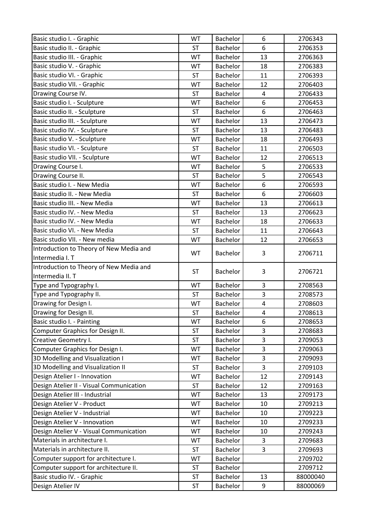| Basic studio I. - Graphic                | WT        | Bachelor        | 6              | 2706343  |
|------------------------------------------|-----------|-----------------|----------------|----------|
| Basic studio II. - Graphic               | <b>ST</b> | Bachelor        | 6              | 2706353  |
| Basic studio III. - Graphic              | WT        | <b>Bachelor</b> | 13             | 2706363  |
| Basic studio V. - Graphic                | WT        | Bachelor        | 18             | 2706383  |
| Basic studio VI. - Graphic               | <b>ST</b> | Bachelor        | 11             | 2706393  |
| Basic studio VII. - Graphic              | WT        | Bachelor        | 12             | 2706403  |
| Drawing Course IV.                       | <b>ST</b> | Bachelor        | 4              | 2706433  |
| Basic studio I. - Sculpture              | WT        | Bachelor        | 6              | 2706453  |
| Basic studio II. - Sculpture             | <b>ST</b> | Bachelor        | 6              | 2706463  |
| Basic studio III. - Sculpture            | WT        | Bachelor        | 13             | 2706473  |
| Basic studio IV. - Sculpture             | <b>ST</b> | Bachelor        | 13             | 2706483  |
| Basic studio V. - Sculpture              | WT        | Bachelor        | 18             | 2706493  |
| Basic studio VI. - Sculpture             | <b>ST</b> | Bachelor        | 11             | 2706503  |
| Basic studio VII. - Sculpture            | WT        | Bachelor        | 12             | 2706513  |
| Drawing Course I.                        | WT        | Bachelor        | 5              | 2706533  |
| Drawing Course II.                       | <b>ST</b> | Bachelor        | 5              | 2706543  |
| Basic studio I. - New Media              | WT        | Bachelor        | 6              | 2706593  |
| Basic studio II. - New Media             | <b>ST</b> | Bachelor        | 6              | 2706603  |
| Basic studio III. - New Media            | WT        | Bachelor        | 13             | 2706613  |
| Basic studio IV. - New Media             | <b>ST</b> | Bachelor        | 13             | 2706623  |
| Basic studio IV. - New Media             | WT        | Bachelor        | 18             | 2706633  |
| Basic studio VI. - New Media             | <b>ST</b> | Bachelor        | 11             | 2706643  |
| Basic studio VII. - New media            | WT        | Bachelor        | 12             | 2706653  |
| Introduction to Theory of New Media and  | WT        | Bachelor        | 3              | 2706711  |
| Intermedia I. T                          |           |                 |                |          |
| Introduction to Theory of New Media and  | <b>ST</b> | Bachelor        | 3              | 2706721  |
| Intermedia II. T                         |           |                 |                |          |
| Type and Typography I.                   | WT        | <b>Bachelor</b> | 3              | 2708563  |
| Type and Typography II.                  | <b>ST</b> | Bachelor        | 3              | 2708573  |
| Drawing for Design I.                    | WT        | Bachelor        | $\overline{4}$ | 2708603  |
| Drawing for Design II.                   | <b>ST</b> | Bachelor        | $\overline{4}$ | 2708613  |
| Basic studio I. - Painting               | WT        | Bachelor        | 6              | 2708653  |
| Computer Graphics for Design II.         | <b>ST</b> | <b>Bachelor</b> | 3              | 2708683  |
| Creative Geometry I.                     | <b>ST</b> | Bachelor        | 3              | 2709053  |
| Computer Graphics for Design I.          | WT        | Bachelor        | 3              | 2709063  |
| 3D Modelling and Visualization I         | WT        | Bachelor        | 3              | 2709093  |
| 3D Modelling and Visualization II        | <b>ST</b> | Bachelor        | 3              | 2709103  |
| Design Atelier I - Innovation            | WT        | Bachelor        | 12             | 2709143  |
| Design Atelier II - Visual Communication | <b>ST</b> | Bachelor        | 12             | 2709163  |
| Design Atelier III - Industrial          | WT        | Bachelor        | 13             | 2709173  |
| Design Atelier V - Product               | WT        | Bachelor        | 10             | 2709213  |
| Design Atelier V - Industrial            | WT        | Bachelor        | 10             | 2709223  |
| Design Atelier V - Innovation            | WT        | Bachelor        | 10             | 2709233  |
| Design Atelier V - Visual Communication  | WT        | Bachelor        | 10             | 2709243  |
| Materials in architecture I.             | WT        | Bachelor        | 3              | 2709683  |
| Materials in architecture II.            | <b>ST</b> | Bachelor        | 3              | 2709693  |
| Computer support for architecture I.     | WT        | Bachelor        |                | 2709702  |
| Computer support for architecture II.    | <b>ST</b> | Bachelor        |                | 2709712  |
| Basic studio IV. - Graphic               | <b>ST</b> | Bachelor        | 13             | 88000040 |
| Design Atelier IV                        | <b>ST</b> | Bachelor        | 9              | 88000069 |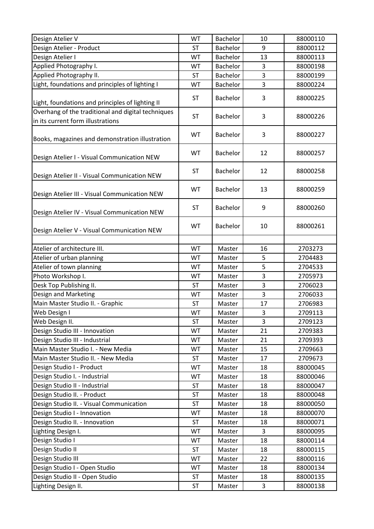| Design Atelier V                                                                        | WT        | <b>Bachelor</b> | 10 | 88000110 |
|-----------------------------------------------------------------------------------------|-----------|-----------------|----|----------|
| Design Atelier - Product                                                                | <b>ST</b> | <b>Bachelor</b> | 9  | 88000112 |
| Design Atelier I                                                                        | WT        | Bachelor        | 13 | 88000113 |
| Applied Photography I.                                                                  | WT        | <b>Bachelor</b> | 3  | 88000198 |
| Applied Photography II.                                                                 | <b>ST</b> | <b>Bachelor</b> | 3  | 88000199 |
| Light, foundations and principles of lighting I                                         | WT        | Bachelor        | 3  | 88000224 |
| Light, foundations and principles of lighting II                                        | <b>ST</b> | Bachelor        | 3  | 88000225 |
| Overhang of the traditional and digital techniques<br>in its current form illustrations | <b>ST</b> | <b>Bachelor</b> | 3  | 88000226 |
| Books, magazines and demonstration illustration                                         | WT        | Bachelor        | 3  | 88000227 |
| Design Atelier I - Visual Communication NEW                                             | WT        | Bachelor        | 12 | 88000257 |
| Design Atelier II - Visual Communication NEW                                            | <b>ST</b> | <b>Bachelor</b> | 12 | 88000258 |
| Design Atelier III - Visual Communication NEW                                           | WT        | <b>Bachelor</b> | 13 | 88000259 |
| Design Atelier IV - Visual Communication NEW                                            | <b>ST</b> | <b>Bachelor</b> | 9  | 88000260 |
| Design Atelier V - Visual Communication NEW                                             | WT        | <b>Bachelor</b> | 10 | 88000261 |
| Atelier of architecture III.                                                            | WT        | Master          | 16 | 2703273  |
| Atelier of urban planning                                                               | WT        | Master          | 5  | 2704483  |
| Atelier of town planning                                                                | WT        | Master          | 5  | 2704533  |
| Photo Workshop I.                                                                       | WT        | Master          | 3  | 2705973  |
| Desk Top Publishing II.                                                                 | <b>ST</b> | Master          | 3  | 2706023  |
| Design and Marketing                                                                    | WT        | Master          | 3  | 2706033  |
| Main Master Studio II. - Graphic                                                        | <b>ST</b> | Master          | 17 | 2706983  |
| Web Design I                                                                            | WT        | Master          | 3  | 2709113  |
| Web Design II.                                                                          | <b>ST</b> | Master          | 3  | 2709123  |
| Design Studio III - Innovation                                                          | WT        | Master          | 21 | 2709383  |
| Design Studio III - Industrial                                                          | WT        | Master          | 21 | 2709393  |
| Main Master Studio I. - New Media                                                       | WT        | Master          | 15 | 2709663  |
| Main Master Studio II. - New Media                                                      | <b>ST</b> | Master          | 17 | 2709673  |
| Design Studio I - Product                                                               | WT        | Master          | 18 | 88000045 |
| Design Studio I. - Industrial                                                           | WT        | Master          | 18 | 88000046 |
| Design Studio II - Industrial                                                           | <b>ST</b> | Master          | 18 | 88000047 |
| Design Studio II. - Product                                                             | <b>ST</b> | Master          | 18 | 88000048 |
| Design Studio II. - Visual Communication                                                | <b>ST</b> | Master          | 18 | 88000050 |
| Design Studio I - Innovation                                                            | WT        | Master          | 18 | 88000070 |
| Design Studio II. - Innovation                                                          | <b>ST</b> | Master          | 18 | 88000071 |
| Lighting Design I.                                                                      | WT        | Master          | 3  | 88000095 |
| Design Studio I                                                                         | WT        | Master          | 18 | 88000114 |
| Design Studio II                                                                        | <b>ST</b> | Master          | 18 | 88000115 |
| Design Studio III                                                                       | WT        | Master          | 22 | 88000116 |
| Design Studio I - Open Studio                                                           | WT        | Master          | 18 | 88000134 |
| Design Studio II - Open Studio                                                          | ST        | Master          | 18 | 88000135 |
| Lighting Design II.                                                                     | <b>ST</b> | Master          | 3  | 88000138 |